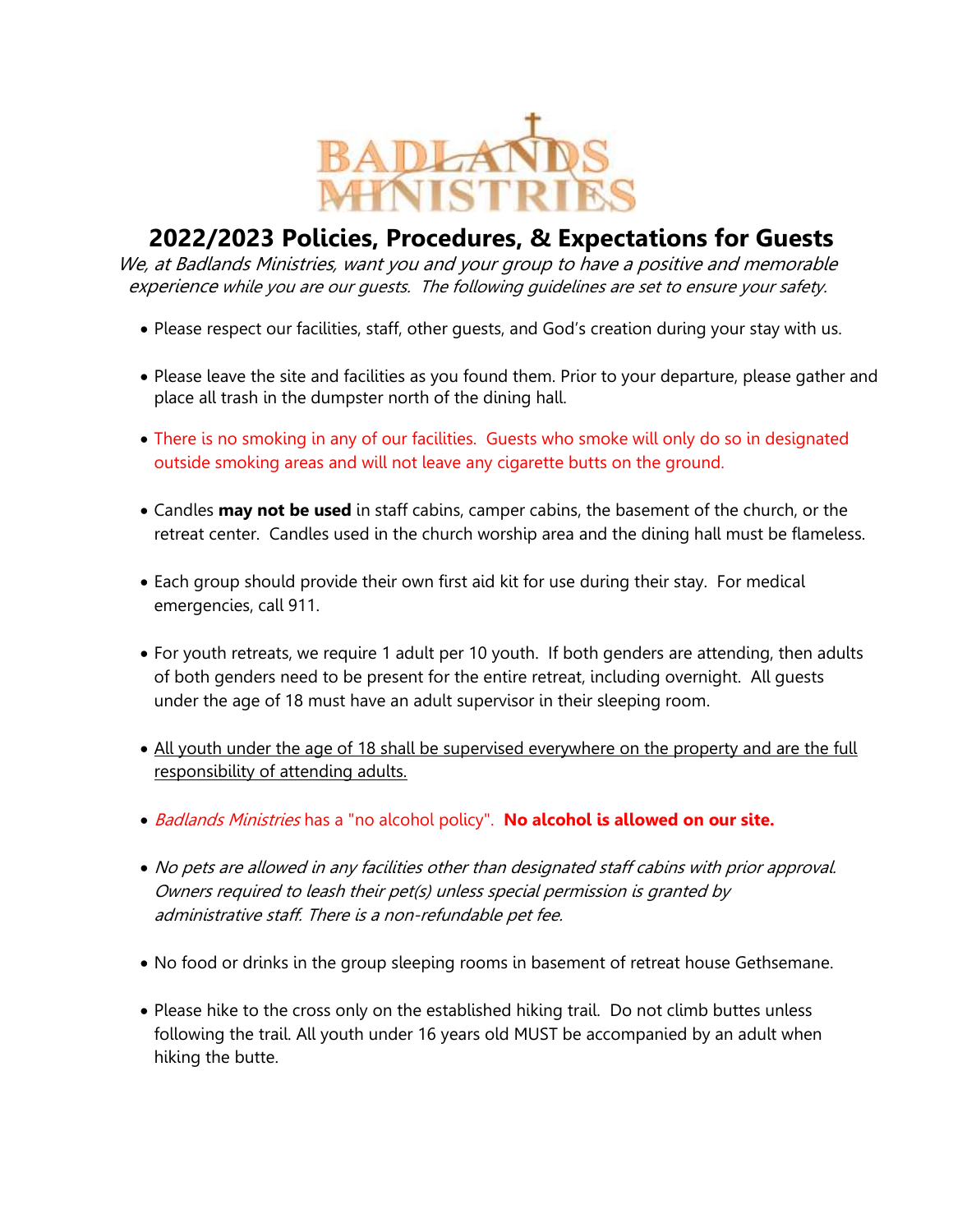

## **2022/2023 Policies, Procedures, & Expectations for Guests**

We, at Badlands Ministries, want you and your group to have a positive and memorable experience while you are our guests. The following guidelines are set to ensure your safety.

- Please respect our facilities, staff, other guests, and God's creation during your stay with us.
- Please leave the site and facilities as you found them. Prior to your departure, please gather and place all trash in the dumpster north of the dining hall.
- There is no smoking in any of our facilities. Guests who smoke will only do so in designated outside smoking areas and will not leave any cigarette butts on the ground.
- Candles **may not be used** in staff cabins, camper cabins, the basement of the church, or the retreat center. Candles used in the church worship area and the dining hall must be flameless.
- Each group should provide their own first aid kit for use during their stay. For medical emergencies, call 911.
- For youth retreats, we require 1 adult per 10 youth. If both genders are attending, then adults of both genders need to be present for the entire retreat, including overnight. All guests under the age of 18 must have an adult supervisor in their sleeping room.
- All youth under the age of 18 shall be supervised everywhere on the property and are the full responsibility of attending adults.
- Badlands Ministries has a "no alcohol policy". **No alcohol is allowed on our site.**
- No pets are allowed in any facilities other than designated staff cabins with prior approval. Owners required to leash their pet(s) unless special permission is granted by administrative staff. There is a non-refundable pet fee.
- No food or drinks in the group sleeping rooms in basement of retreat house Gethsemane.
- Please hike to the cross only on the established hiking trail. Do not climb buttes unless following the trail. All youth under 16 years old MUST be accompanied by an adult when hiking the butte.